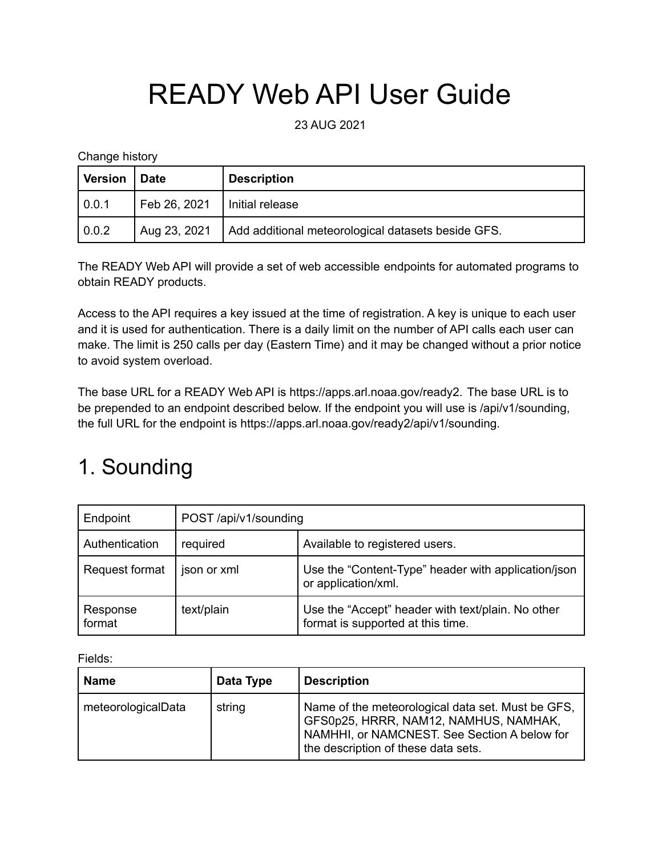## READY Web API User Guide

23 AUG 2021

Change history

| <b>Version</b> | <b>Date</b>  | <b>Description</b>                                 |
|----------------|--------------|----------------------------------------------------|
| $\vert 0.0.1$  | Feb 26, 2021 | Initial release                                    |
| 0.0.2          | Aug 23, 2021 | Add additional meteorological datasets beside GFS. |

The READY Web API will provide a set of web accessible endpoints for automated programs to obtain READY products.

Access to the API requires a key issued at the time of registration. A key is unique to each user and it is used for authentication. There is a daily limit on the number of API calls each user can make. The limit is 250 calls per day (Eastern Time) and it may be changed without a prior notice to avoid system overload.

The base URL for a READY Web API is https://apps.arl.noaa.gov/ready2. The base URL is to be prepended to an endpoint described below. If the endpoint you will use is /api/v1/sounding, the full URL for the endpoint is https://apps.arl.noaa.gov/ready2/api/v1/sounding.

## 1. Sounding

| Endpoint           | POST/api/v1/sounding |                                                                                        |  |
|--------------------|----------------------|----------------------------------------------------------------------------------------|--|
| Authentication     | required             | Available to registered users.                                                         |  |
| Request format     | json or xml          | Use the "Content-Type" header with application/json<br>or application/xml.             |  |
| Response<br>format | text/plain           | Use the "Accept" header with text/plain. No other<br>format is supported at this time. |  |

Fields:

| Name               | Data Type | <b>Description</b>                                                                                                                                                                |  |
|--------------------|-----------|-----------------------------------------------------------------------------------------------------------------------------------------------------------------------------------|--|
| meteorologicalData | string    | Name of the meteorological data set. Must be GFS,<br>GFS0p25, HRRR, NAM12, NAMHUS, NAMHAK,<br>NAMHHI, or NAMCNEST. See Section A below for<br>the description of these data sets. |  |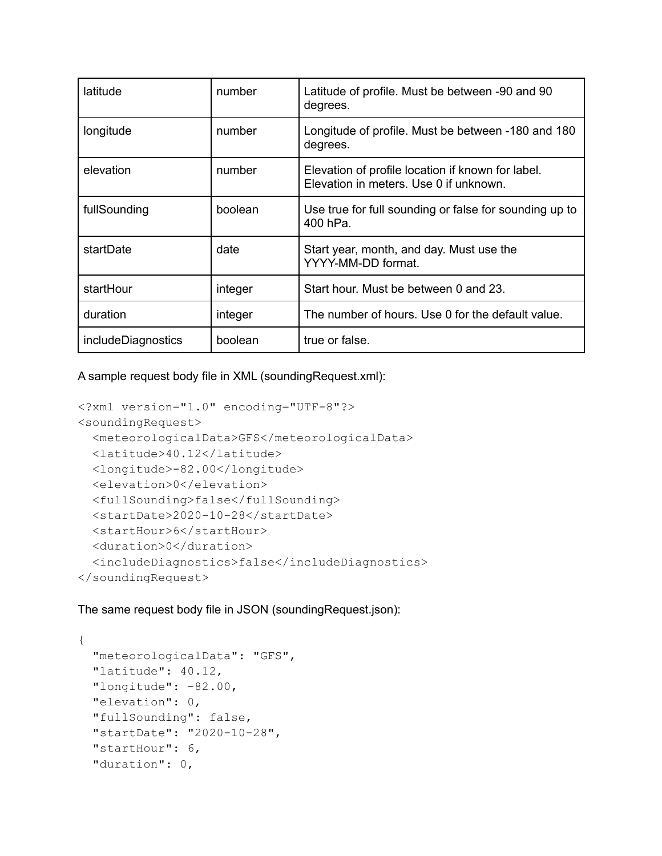| latitude           | number  | Latitude of profile. Must be between -90 and 90<br>degrees.                                 |  |
|--------------------|---------|---------------------------------------------------------------------------------------------|--|
| longitude          | number  | Longitude of profile. Must be between -180 and 180<br>degrees.                              |  |
| elevation          | number  | Elevation of profile location if known for label.<br>Elevation in meters. Use 0 if unknown. |  |
| fullSounding       | boolean | Use true for full sounding or false for sounding up to<br>400 hPa.                          |  |
| startDate          | date    | Start year, month, and day. Must use the<br>YYYY-MM-DD format.                              |  |
| startHour          | integer | Start hour. Must be between 0 and 23.                                                       |  |
| duration           | integer | The number of hours. Use 0 for the default value.                                           |  |
| includeDiagnostics | boolean | true or false.                                                                              |  |

A sample request body file in XML (soundingRequest.xml):

```
<?xml version="1.0" encoding="UTF-8"?>
<soundingRequest>
  <meteorologicalData>GFS</meteorologicalData>
  <latitude>40.12</latitude>
  <longitude>-82.00</longitude>
  <elevation>0</elevation>
  <fullSounding>false</fullSounding>
  <startDate>2020-10-28</startDate>
  <startHour>6</startHour>
  <duration>0</duration>
  <includeDiagnostics>false</includeDiagnostics>
</soundingRequest>
```
The same request body file in JSON (soundingRequest.json):

```
{
 "meteorologicalData": "GFS",
 "latitude": 40.12,
 "longitude": -82.00,
 "elevation": 0,
 "fullSounding": false,
 "startDate": "2020-10-28",
 "startHour": 6,
 "duration": 0,
```